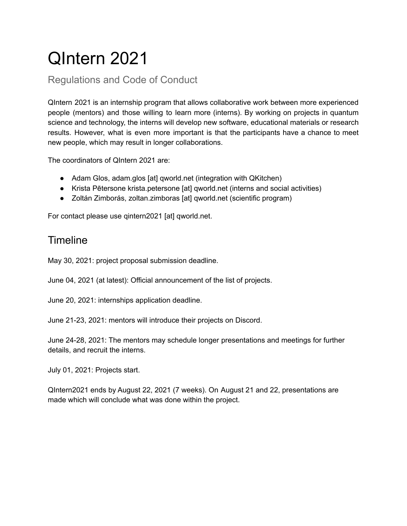# QIntern 2021

Regulations and Code of Conduct

QIntern 2021 is an internship program that allows collaborative work between more experienced people (mentors) and those willing to learn more (interns). By working on projects in quantum science and technology, the interns will develop new software, educational materials or research results. However, what is even more important is that the participants have a chance to meet new people, which may result in longer collaborations.

The coordinators of QIntern 2021 are:

- Adam Glos, adam.glos [at] qworld.net (integration with QKitchen)
- Krista Pētersone krista.petersone [at] qworld.net (interns and social activities)
- Zoltán Zimborás, zoltan.zimboras [at] qworld.net (scientific program)

For contact please use qintern2021 [at] qworld.net.

### **Timeline**

May 30, 2021: project proposal submission deadline.

June 04, 2021 (at latest): Official announcement of the list of projects.

June 20, 2021: internships application deadline.

June 21-23, 2021: mentors will introduce their projects on Discord.

June 24-28, 2021: The mentors may schedule longer presentations and meetings for further details, and recruit the interns.

July 01, 2021: Projects start.

QIntern2021 ends by August 22, 2021 (7 weeks). On August 21 and 22, presentations are made which will conclude what was done within the project.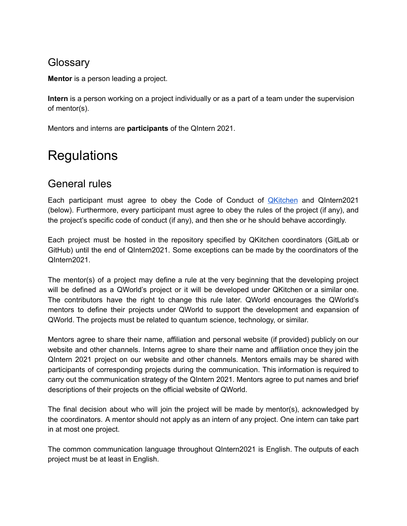#### **Glossarv**

**Mentor** is a person leading a project.

**Intern** is a person working on a project individually or as a part of a team under the supervision of mentor(s).

Mentors and interns are **participants** of the QIntern 2021.

# **Regulations**

### General rules

Each participant must agree to obey the Code of Conduct of **[QKitchen](https://gitlab.com/qkitchen/qworld-documentation/-/blob/dda01f1b5e88a324931271fd57487c86771b0e93/general/code_of_conduct/coc_qkitchen_2020_03_30.md)** and QIntern2021 (below). Furthermore, every participant must agree to obey the rules of the project (if any), and the project's specific code of conduct (if any), and then she or he should behave accordingly.

Each project must be hosted in the repository specified by QKitchen coordinators (GitLab or GitHub) until the end of QIntern2021. Some exceptions can be made by the coordinators of the QIntern2021.

The mentor(s) of a project may define a rule at the very beginning that the developing project will be defined as a QWorld's project or it will be developed under QKitchen or a similar one. The contributors have the right to change this rule later. QWorld encourages the QWorld's mentors to define their projects under QWorld to support the development and expansion of QWorld. The projects must be related to quantum science, technology, or similar.

Mentors agree to share their name, affiliation and personal website (if provided) publicly on our website and other channels. Interns agree to share their name and affiliation once they join the QIntern 2021 project on our website and other channels. Mentors emails may be shared with participants of corresponding projects during the communication. This information is required to carry out the communication strategy of the QIntern 2021. Mentors agree to put names and brief descriptions of their projects on the official website of QWorld.

The final decision about who will join the project will be made by mentor(s), acknowledged by the coordinators. A mentor should not apply as an intern of any project. One intern can take part in at most one project.

The common communication language throughout QIntern2021 is English. The outputs of each project must be at least in English.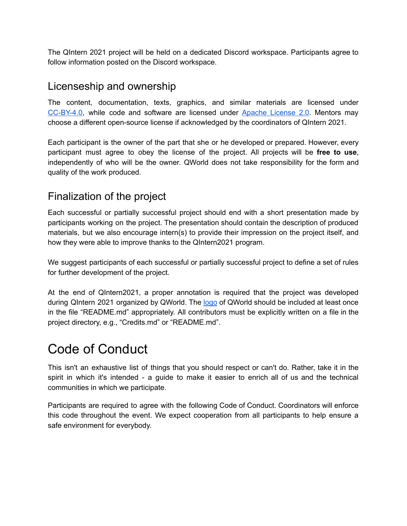The QIntern 2021 project will be held on a dedicated Discord workspace. Participants agree to follow information posted on the Discord workspace.

#### Licenseship and ownership

The content, documentation, texts, graphics, and similar materials are licensed under [CC-BY-4.0](https://creativecommons.org/licenses/by/4.0/legalcode), while code and software are licensed under Apache [License](http://www.apache.org/licenses/LICENSE-2.0) 2.0. Mentors may choose a different open-source license if acknowledged by the coordinators of QIntern 2021.

Each participant is the owner of the part that she or he developed or prepared. However, every participant must agree to obey the license of the project. All projects will be **free to use**, independently of who will be the owner. QWorld does not take responsibility for the form and quality of the work produced.

### Finalization of the project

Each successful or partially successful project should end with a short presentation made by participants working on the project. The presentation should contain the description of produced materials, but we also encourage intern(s) to provide their impression on the project itself, and how they were able to improve thanks to the QIntern2021 program.

We suggest participants of each successful or partially successful project to define a set of rules for further development of the project.

At the end of QIntern2021, a proper annotation is required that the project was developed during QIntern 2021 organized by QWorld. The [logo](https://gitlab.com/qkitchen/qworld-documentation/-/blob/release/images/QWorld/QWorld.png) of QWorld should be included at least once in the file "README.md" appropriately. All contributors must be explicitly written on a file in the project directory, e.g., "Credits.md" or "README.md".

## Code of Conduct

This isn't an exhaustive list of things that you should respect or can't do. Rather, take it in the spirit in which it's intended - a guide to make it easier to enrich all of us and the technical communities in which we participate.

Participants are required to agree with the following Code of Conduct. Coordinators will enforce this code throughout the event. We expect cooperation from all participants to help ensure a safe environment for everybody.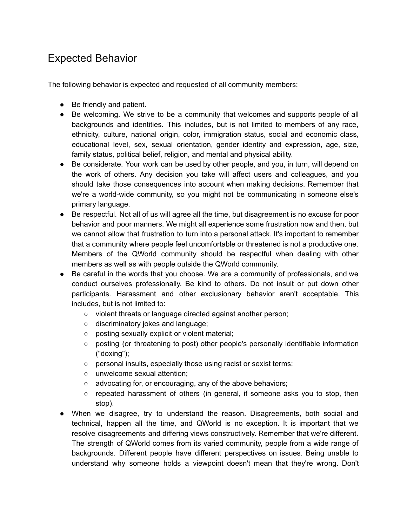### Expected Behavior

The following behavior is expected and requested of all community members:

- Be friendly and patient.
- Be welcoming. We strive to be a community that welcomes and supports people of all backgrounds and identities. This includes, but is not limited to members of any race, ethnicity, culture, national origin, color, immigration status, social and economic class, educational level, sex, sexual orientation, gender identity and expression, age, size, family status, political belief, religion, and mental and physical ability.
- Be considerate. Your work can be used by other people, and you, in turn, will depend on the work of others. Any decision you take will affect users and colleagues, and you should take those consequences into account when making decisions. Remember that we're a world-wide community, so you might not be communicating in someone else's primary language.
- Be respectful. Not all of us will agree all the time, but disagreement is no excuse for poor behavior and poor manners. We might all experience some frustration now and then, but we cannot allow that frustration to turn into a personal attack. It's important to remember that a community where people feel uncomfortable or threatened is not a productive one. Members of the QWorld community should be respectful when dealing with other members as well as with people outside the QWorld community.
- Be careful in the words that you choose. We are a community of professionals, and we conduct ourselves professionally. Be kind to others. Do not insult or put down other participants. Harassment and other exclusionary behavior aren't acceptable. This includes, but is not limited to:
	- violent threats or language directed against another person;
	- discriminatory jokes and language;
	- posting sexually explicit or violent material;
	- posting (or threatening to post) other people's personally identifiable information ("doxing");
	- personal insults, especially those using racist or sexist terms;
	- unwelcome sexual attention;
	- advocating for, or encouraging, any of the above behaviors;
	- repeated harassment of others (in general, if someone asks you to stop, then stop).
- When we disagree, try to understand the reason. Disagreements, both social and technical, happen all the time, and QWorld is no exception. It is important that we resolve disagreements and differing views constructively. Remember that we're different. The strength of QWorld comes from its varied community, people from a wide range of backgrounds. Different people have different perspectives on issues. Being unable to understand why someone holds a viewpoint doesn't mean that they're wrong. Don't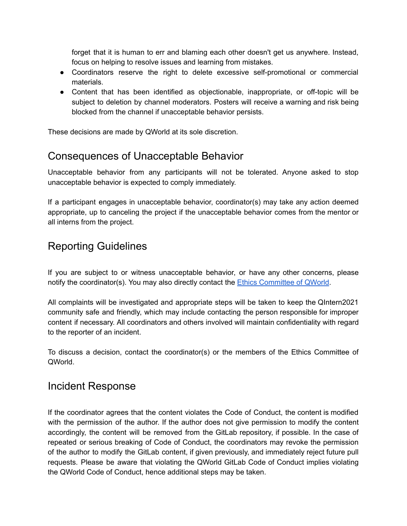forget that it is human to err and blaming each other doesn't get us anywhere. Instead, focus on helping to resolve issues and learning from mistakes.

- Coordinators reserve the right to delete excessive self-promotional or commercial materials.
- Content that has been identified as objectionable, inappropriate, or off-topic will be subject to deletion by channel moderators. Posters will receive a warning and risk being blocked from the channel if unacceptable behavior persists.

These decisions are made by QWorld at its sole discretion.

### Consequences of Unacceptable Behavior

Unacceptable behavior from any participants will not be tolerated. Anyone asked to stop unacceptable behavior is expected to comply immediately.

If a participant engages in unacceptable behavior, coordinator(s) may take any action deemed appropriate, up to canceling the project if the unacceptable behavior comes from the mentor or all interns from the project.

### Reporting Guidelines

If you are subject to or witness unacceptable behavior, or have any other concerns, please notify the coordinator(s). You may also directly contact the Ethics [Committee](http://qworld.lu.lv/index.php/contact) of QWorld.

All complaints will be investigated and appropriate steps will be taken to keep the QIntern2021 community safe and friendly, which may include contacting the person responsible for improper content if necessary. All coordinators and others involved will maintain confidentiality with regard to the reporter of an incident.

To discuss a decision, contact the coordinator(s) or the members of the Ethics Committee of QWorld.

### Incident Response

If the coordinator agrees that the content violates the Code of Conduct, the content is modified with the permission of the author. If the author does not give permission to modify the content accordingly, the content will be removed from the GitLab repository, if possible. In the case of repeated or serious breaking of Code of Conduct, the coordinators may revoke the permission of the author to modify the GitLab content, if given previously, and immediately reject future pull requests. Please be aware that violating the QWorld GitLab Code of Conduct implies violating the QWorld Code of Conduct, hence additional steps may be taken.